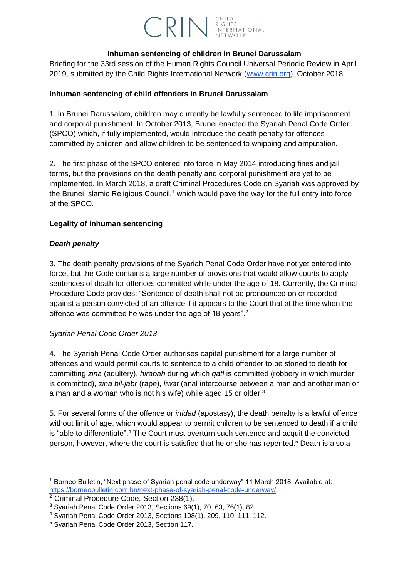# **CRIN** RIGHTS INTERNATIONAL

#### **Inhuman sentencing of children in Brunei Darussalam**

Briefing for the 33rd session of the Human Rights Council Universal Periodic Review in April 2019, submitted by the Child Rights International Network [\(www.crin.org\)](http://www.crin.org/), October 2018.

# **Inhuman sentencing of child offenders in Brunei Darussalam**

1. In Brunei Darussalam, children may currently be lawfully sentenced to life imprisonment and corporal punishment. In October 2013, Brunei enacted the Syariah Penal Code Order (SPCO) which, if fully implemented, would introduce the death penalty for offences committed by children and allow children to be sentenced to whipping and amputation.

2. The first phase of the SPCO entered into force in May 2014 introducing fines and jail terms, but the provisions on the death penalty and corporal punishment are yet to be implemented. In March 2018, a draft Criminal Procedures Code on Syariah was approved by the Brunei Islamic Religious Council,<sup>1</sup> which would pave the way for the full entry into force of the SPCO.

# **Legality of inhuman sentencing**

## *Death penalty*

-

3. The death penalty provisions of the Syariah Penal Code Order have not yet entered into force, but the Code contains a large number of provisions that would allow courts to apply sentences of death for offences committed while under the age of 18. Currently, the Criminal Procedure Code provides: "Sentence of death shall not be pronounced on or recorded against a person convicted of an offence if it appears to the Court that at the time when the offence was committed he was under the age of 18 years".<sup>2</sup>

#### *Syariah Penal Code Order 2013*

4. The Syariah Penal Code Order authorises capital punishment for a large number of offences and would permit courts to sentence to a child offender to be stoned to death for committing *zina* (adultery), *hirabah* during which *qatl* is committed (robbery in which murder is committed), *zina bil-jabr* (rape), *liwat* (anal intercourse between a man and another man or a man and a woman who is not his wife) while aged 15 or older.<sup>3</sup>

5. For several forms of the offence or *irtidad* (apostasy), the death penalty is a lawful offence without limit of age, which would appear to permit children to be sentenced to death if a child is "able to differentiate".<sup>4</sup> The Court must overturn such sentence and acquit the convicted person, however, where the court is satisfied that he or she has repented.<sup>5</sup> Death is also a

<sup>&</sup>lt;sup>1</sup> Borneo Bulletin, "Next phase of Syariah penal code underway" 11 March 2018. Available at: [https://borneobulletin.com.bn/next-phase-of-syariah-penal-code-underway/.](https://borneobulletin.com.bn/next-phase-of-syariah-penal-code-underway/)

<sup>2</sup> Criminal Procedure Code, Section 238(1).

<sup>3</sup> Syariah Penal Code Order 2013, Sections 69(1), 70, 63, 76(1), 82.

<sup>4</sup> Syariah Penal Code Order 2013, Sections 108(1), 209, 110, 111, 112.

<sup>5</sup> Syariah Penal Code Order 2013, Section 117.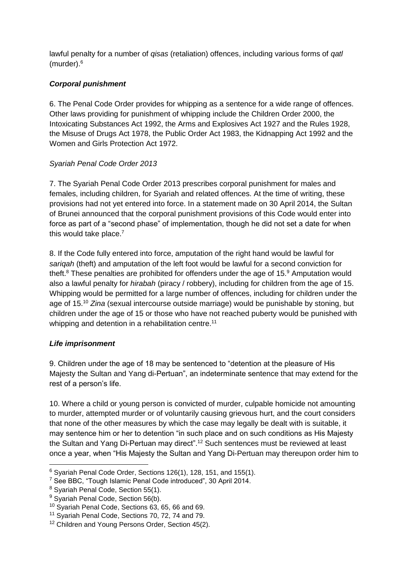lawful penalty for a number of *qisas* (retaliation) offences, including various forms of *qatl* (murder).<sup>6</sup>

# *Corporal punishment*

6. The Penal Code Order provides for whipping as a sentence for a wide range of offences. Other laws providing for punishment of whipping include the Children Order 2000, the Intoxicating Substances Act 1992, the Arms and Explosives Act 1927 and the Rules 1928, the Misuse of Drugs Act 1978, the Public Order Act 1983, the Kidnapping Act 1992 and the Women and Girls Protection Act 1972.

# *Syariah Penal Code Order 2013*

7. The Syariah Penal Code Order 2013 prescribes corporal punishment for males and females, including children, for Syariah and related offences. At the time of writing, these provisions had not yet entered into force. In a statement made on 30 April 2014, the Sultan of Brunei announced that the corporal punishment provisions of this Code would enter into force as part of a "second phase" of implementation, though he did not set a date for when this would take place. $7$ 

8. If the Code fully entered into force, amputation of the right hand would be lawful for *sariqah* (theft) and amputation of the left foot would be lawful for a second conviction for theft. $8$  These penalties are prohibited for offenders under the age of 15. $9$  Amputation would also a lawful penalty for *hirabah* (piracy / robbery), including for children from the age of 15. Whipping would be permitted for a large number of offences, including for children under the age of 15.<sup>10</sup> *Zina* (sexual intercourse outside marriage) would be punishable by stoning, but children under the age of 15 or those who have not reached puberty would be punished with whipping and detention in a rehabilitation centre.<sup>11</sup>

# *Life imprisonment*

-

9. Children under the age of 18 may be sentenced to "detention at the pleasure of His Majesty the Sultan and Yang di-Pertuan", an indeterminate sentence that may extend for the rest of a person's life.

10. Where a child or young person is convicted of murder, culpable homicide not amounting to murder, attempted murder or of voluntarily causing grievous hurt, and the court considers that none of the other measures by which the case may legally be dealt with is suitable, it may sentence him or her to detention "in such place and on such conditions as His Majesty the Sultan and Yang Di-Pertuan may direct".<sup>12</sup> Such sentences must be reviewed at least once a year, when "His Majesty the Sultan and Yang Di-Pertuan may thereupon order him to

<sup>6</sup> Syariah Penal Code Order, Sections 126(1), 128, 151, and 155(1).

<sup>7</sup> See BBC, "Tough Islamic Penal Code introduced", 30 April 2014.

<sup>8</sup> Syariah Penal Code, Section 55(1).

<sup>&</sup>lt;sup>9</sup> Syariah Penal Code, Section 56(b).

<sup>10</sup> Syariah Penal Code, Sections 63, 65, 66 and 69.

<sup>&</sup>lt;sup>11</sup> Syariah Penal Code, Sections 70, 72, 74 and 79.

<sup>&</sup>lt;sup>12</sup> Children and Young Persons Order, Section 45(2).